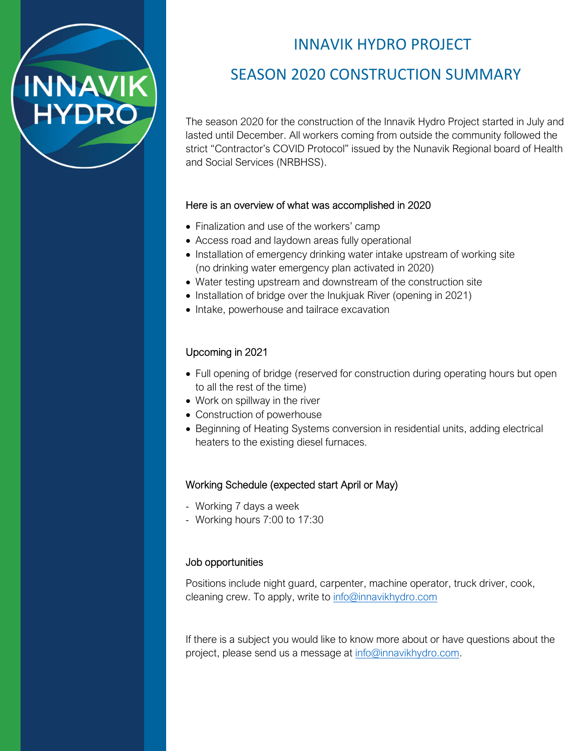# INNAVIK HYDRO PROJECT

## SEASON 2020 CONSTRUCTION SUMMARY

The season 2020 for the construction of the Innavik Hydro Project started in July and lasted until December. All workers coming from outside the community followed the strict "Contractor's COVID Protocol" issued by the Nunavik Regional board of Health and Social Services (NRBHSS).

### Here is an overview of what was accomplished in 2020

- Finalization and use of the workers' camp
- Access road and laydown areas fully operational
- Installation of emergency drinking water intake upstream of working site (no drinking water emergency plan activated in 2020)
- Water testing upstream and downstream of the construction site
- Installation of bridge over the Inukjuak River (opening in 2021)
- Intake, powerhouse and tailrace excavation

## Upcoming in 2021

**INNAVIK**<br>HYDRO

- Full opening of bridge (reserved for construction during operating hours but open to all the rest of the time)
- Work on spillway in the river
- Construction of powerhouse
- Beginning of Heating Systems conversion in residential units, adding electrical heaters to the existing diesel furnaces.

## Working Schedule (expected start April or May)

- Working 7 days a week
- Working hours 7:00 to 17:30

## Job opportunities

Positions include night guard, carpenter, machine operator, truck driver, cook, cleaning crew. To apply, write to [info@innavikhydro.com](mailto:info@innavikhydro.com)

If there is a subject you would like to know more about or have questions about the project, please send us a message at [info@innavikhydro.com.](mailto:info@innavikhydro.com)